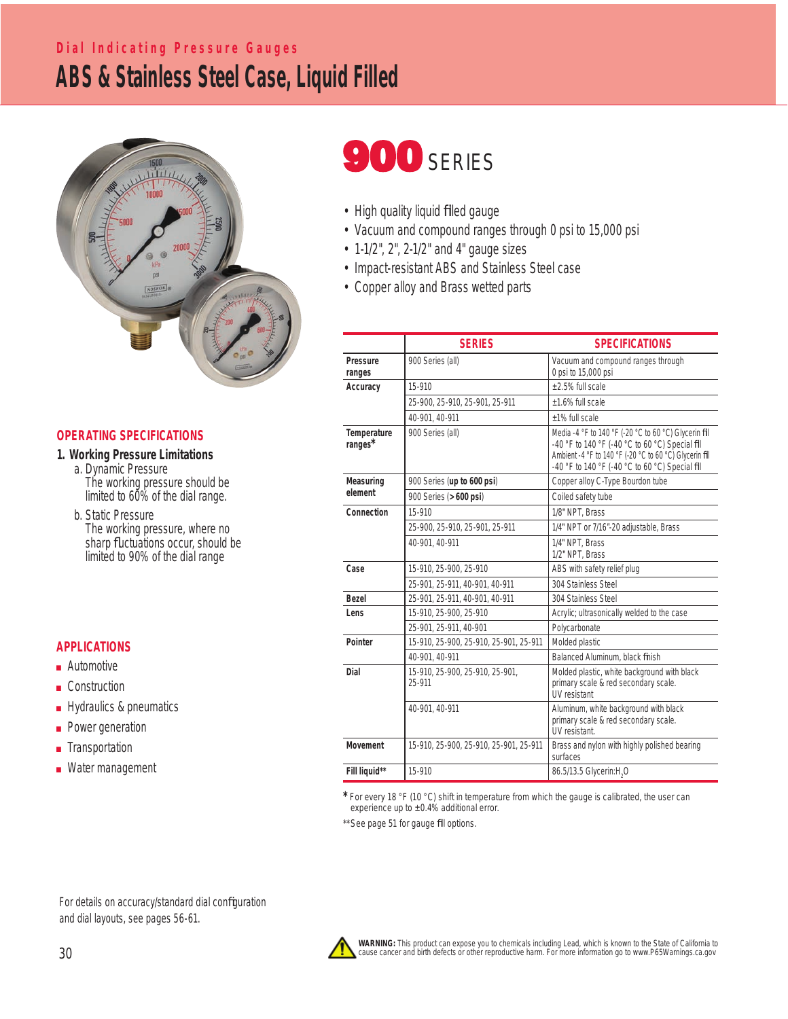## **ABS & Stainless Steel Case, Liquid Filled Dial Indicating Pressure Gauges**



### **OPERATING SPECIFICATIONS**

- **1. Working Pressure Limitations** a. Dynamic Pressure
	- The working pressure should be limited to 60% of the dial range.
	- b. Static Pressure The working pressure, where no sharp fluctuations occur, should be limited to 90% of the dial range

### **APPLICATIONS**

- Automotive
- Construction
- Hydraulics & pneumatics
- Power generation
- Transportation
- Water management

# **900 SERIES**

- High quality liquid filled gauge
- Vacuum and compound ranges through 0 psi to 15,000 psi
- 1-1/2", 2", 2-1/2" and 4" gauge sizes
- Impact-resistant ABS and Stainless Steel case
- Copper alloy and Brass wetted parts

|                        | <b>SERIES</b>                             | <b>SPECIFICATIONS</b>                                                                                                                                                                                                  |  |  |  |  |
|------------------------|-------------------------------------------|------------------------------------------------------------------------------------------------------------------------------------------------------------------------------------------------------------------------|--|--|--|--|
| Pressure<br>ranges     | 900 Series (all)                          | Vacuum and compound ranges through<br>0 psi to 15,000 psi                                                                                                                                                              |  |  |  |  |
| Accuracy               | 15-910                                    | +2.5% full scale                                                                                                                                                                                                       |  |  |  |  |
|                        | 25-900, 25-910, 25-901, 25-911            | +1.6% full scale                                                                                                                                                                                                       |  |  |  |  |
|                        | 40-901, 40-911                            | +1% full scale                                                                                                                                                                                                         |  |  |  |  |
| Temperature<br>ranges* | 900 Series (all)                          | Media -4 °F to 140 °F (-20 °C to 60 °C) Glycerin fill<br>-40 °F to 140 °F (-40 °C to 60 °C) Special fill<br>Ambient -4 °F to 140 °F (-20 °C to 60 °C) Glycerin fill<br>-40 °F to 140 °F (-40 °C to 60 °C) Special fill |  |  |  |  |
| Measuring<br>element   | 900 Series (up to 600 psi)                | Copper alloy C-Type Bourdon tube                                                                                                                                                                                       |  |  |  |  |
|                        | 900 Series (> 600 psi)                    | Coiled safety tube                                                                                                                                                                                                     |  |  |  |  |
| Connection             | 15-910                                    | 1/8" NPT, Brass                                                                                                                                                                                                        |  |  |  |  |
|                        | 25-900, 25-910, 25-901, 25-911            | 1/4" NPT or 7/16"-20 adjustable, Brass                                                                                                                                                                                 |  |  |  |  |
|                        | 40-901, 40-911                            | 1/4" NPT, Brass<br>1/2" NPT, Brass                                                                                                                                                                                     |  |  |  |  |
| Case                   | 15-910, 25-900, 25-910                    | ABS with safety relief plug                                                                                                                                                                                            |  |  |  |  |
|                        | 25-901, 25-911, 40-901, 40-911            | 304 Stainless Steel                                                                                                                                                                                                    |  |  |  |  |
| <b>Bezel</b>           | 25-901, 25-911, 40-901, 40-911            | 304 Stainless Steel                                                                                                                                                                                                    |  |  |  |  |
| Lens                   | 15-910, 25-900, 25-910                    | Acrylic; ultrasonically welded to the case                                                                                                                                                                             |  |  |  |  |
|                        | 25-901, 25-911, 40-901                    | Polycarbonate                                                                                                                                                                                                          |  |  |  |  |
| Pointer                | 15-910, 25-900, 25-910, 25-901, 25-911    | Molded plastic                                                                                                                                                                                                         |  |  |  |  |
|                        | 40-901, 40-911                            | Balanced Aluminum, black finish                                                                                                                                                                                        |  |  |  |  |
| Dial                   | 15-910, 25-900, 25-910, 25-901,<br>25-911 | Molded plastic, white background with black<br>primary scale & red secondary scale.<br>UV resistant                                                                                                                    |  |  |  |  |
|                        | 40-901.40-911                             | Aluminum, white background with black<br>primary scale & red secondary scale.<br>UV resistant.                                                                                                                         |  |  |  |  |
| Movement               | 15-910, 25-900, 25-910, 25-901, 25-911    | Brass and nylon with highly polished bearing<br>surfaces                                                                                                                                                               |  |  |  |  |
| Fill liquid**          | 15-910                                    | 86.5/13.5 Glycerin:H <sub>2</sub> O                                                                                                                                                                                    |  |  |  |  |

**\*** For every 18 °F (10 °C) shift in temperature from which the gauge is calibrated, the user can experience up to  $\pm 0.4\%$  additional error.

\*\* See page 51 for gauge fill options.

For details on accuracy/standard dial configuration and dial layouts, see pages 56-61.



WARNING: This product can expose you to chemicals including Lead, which is known to the State of California to<br>cause cancer and birth defects or other reproductive harm. For more information go to www.P65Warnings.ca.gov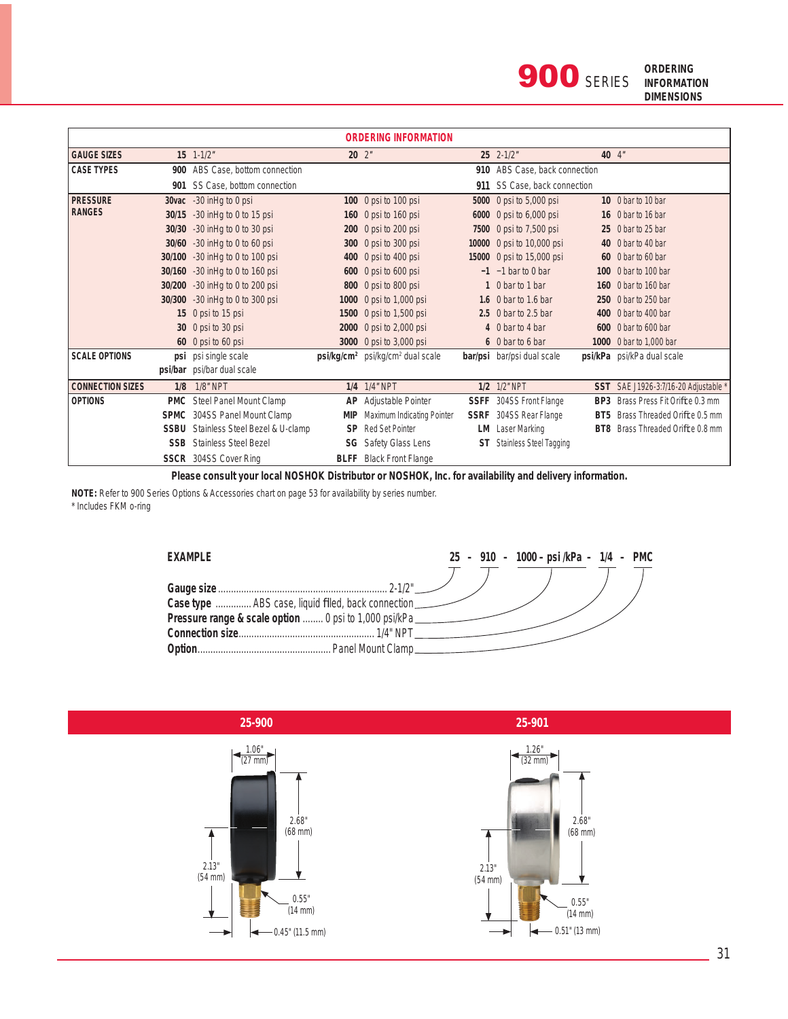| <b>ORDERING INFORMATION</b> |             |                                  |           |                                                          |             |                                |                 |                                    |
|-----------------------------|-------------|----------------------------------|-----------|----------------------------------------------------------|-------------|--------------------------------|-----------------|------------------------------------|
| <b>GAUGE SIZES</b>          |             | $15 \t1-1/2"$                    |           | $20 \t2$ "                                               |             | 25 2-1/2"                      |                 | 40 4"                              |
| <b>CASE TYPES</b>           |             | 900 ABS Case, bottom connection  |           |                                                          |             | 910 ABS Case, back connection  |                 |                                    |
|                             |             | 901 SS Case, bottom connection   |           |                                                          | 911         | SS Case, back connection       |                 |                                    |
| <b>PRESSURE</b>             |             | 30vac -30 in Hq to 0 psi         |           | 100 0 psi to 100 psi                                     |             | 5000 0 psi to 5,000 psi        |                 | 10 0 bar to 10 bar                 |
| <b>RANGES</b>               | 30/15       | -30 in Hg to 0 to 15 psi         |           | 160 0 psi to 160 psi                                     |             | 6000 0 psi to 6,000 psi        |                 | 16 0 bar to 16 bar                 |
|                             | 30/30       | -30 in Hg to 0 to 30 psi         |           | 200 0 psi to 200 psi                                     |             | 7500 0 psi to 7,500 psi        |                 | 25 0 bar to 25 bar                 |
|                             | 30/60       | -30 in Hg to 0 to 60 psi         |           | 300 0 psi to 300 psi                                     |             | 10000 0 psi to 10,000 psi      |                 | 40 0 bar to 40 bar                 |
|                             | 30/100      | -30 in Hg to 0 to 100 psi        |           | 400 0 psi to 400 psi                                     |             | 15000 0 psi to 15,000 psi      |                 | 60 0 bar to 60 bar                 |
|                             | 30/160      | -30 in Hg to 0 to 160 psi        |           | 600 0 psi to 600 psi                                     |             | $-1$ -1 bar to 0 bar           |                 | 100 0 bar to 100 bar               |
|                             |             | 30/200 -30 in Hg to 0 to 200 psi |           | 800 0 psi to 800 psi                                     |             | 1 0 bar to 1 bar               |                 | 160 0 bar to 160 bar               |
|                             | 30/300      | -30 inHq to 0 to 300 psi         |           | 1000 0 psi to 1,000 psi                                  |             | 1.6 0 bar to 1.6 bar           |                 | 250 0 bar to 250 bar               |
|                             |             | 15 0 psi to 15 psi               |           | 1500 0 psi to 1,500 psi                                  |             | 2.5 0 bar to 2.5 bar           |                 | 400 0 bar to 400 bar               |
|                             |             | 30 0 psi to 30 psi               |           | 2000 0 psi to 2,000 psi                                  |             | 4 0 bar to 4 bar               | 600             | $0$ bar to 600 bar                 |
|                             |             | 60 0 psi to 60 psi               |           | 3000 0 psi to 3,000 psi                                  |             | 6 0 bar to 6 bar               |                 | 1000 0 bar to 1,000 bar            |
| <b>SCALE OPTIONS</b>        |             | psi psi single scale             |           | psi/kg/cm <sup>2</sup> psi/kg/cm <sup>2</sup> dual scale |             | bar/psi bar/psi dual scale     |                 | psi/kPa psi/kPa dual scale         |
|                             |             | psi/bar psi/bar dual scale       |           |                                                          |             |                                |                 |                                    |
| <b>CONNECTION SIZES</b>     | 1/8         | <b>1/8" NPT</b>                  |           | 1/4 1/4" NPT                                             |             | 1/2 1/2" NPT                   |                 | SST SAE J1926-3:7/16-20 Adjustable |
| <b>OPTIONS</b>              | <b>PMC</b>  | Steel Panel Mount Clamp          | AP        | Adjustable Pointer                                       | <b>SSFF</b> | 304SS Front Flange             | BP <sub>3</sub> | Brass Press Fit Orifice 0.3 mm     |
|                             | <b>SPMC</b> | 304SS Panel Mount Clamp          | MIP       | Maximum Indicating Pointer                               | <b>SSRF</b> | 304SS Rear Flange              | BT <sub>5</sub> | Brass Threaded Orifice 0.5 mm      |
|                             | <b>SSBU</b> | Stainless Steel Bezel & U-clamp  | <b>SP</b> | <b>Red Set Pointer</b>                                   | LM          | Laser Marking                  | BT <sub>8</sub> | Brass Threaded Orifice 0.8 mm      |
|                             | <b>SSB</b>  | <b>Stainless Steel Bezel</b>     |           | <b>SG</b> Safety Glass Lens                              | ST          | <b>Stainless Steel Tagging</b> |                 |                                    |
|                             |             | <b>SSCR</b> 304SS Cover Ring     |           | <b>BLFF</b> Black Front Flange                           |             |                                |                 |                                    |

 **Please consult your local NOSHOK Distributor or NOSHOK, Inc. for availability and delivery information.**

 **NOTE:** Refer to 900 Series Options & Accessories chart on page 53 for availability by series number. \* Includes FKM o-ring



| EXAMPLE                                                |  | 25 - 910 - 1000 - psi/kPa - 1/4 - PMC |  |
|--------------------------------------------------------|--|---------------------------------------|--|
|                                                        |  |                                       |  |
|                                                        |  |                                       |  |
| Case type  ABS case, liquid filled, back connection_   |  |                                       |  |
| Pressure range & scale option  0 psi to 1,000 psi/kPa_ |  |                                       |  |
|                                                        |  |                                       |  |
| Option                                                 |  |                                       |  |

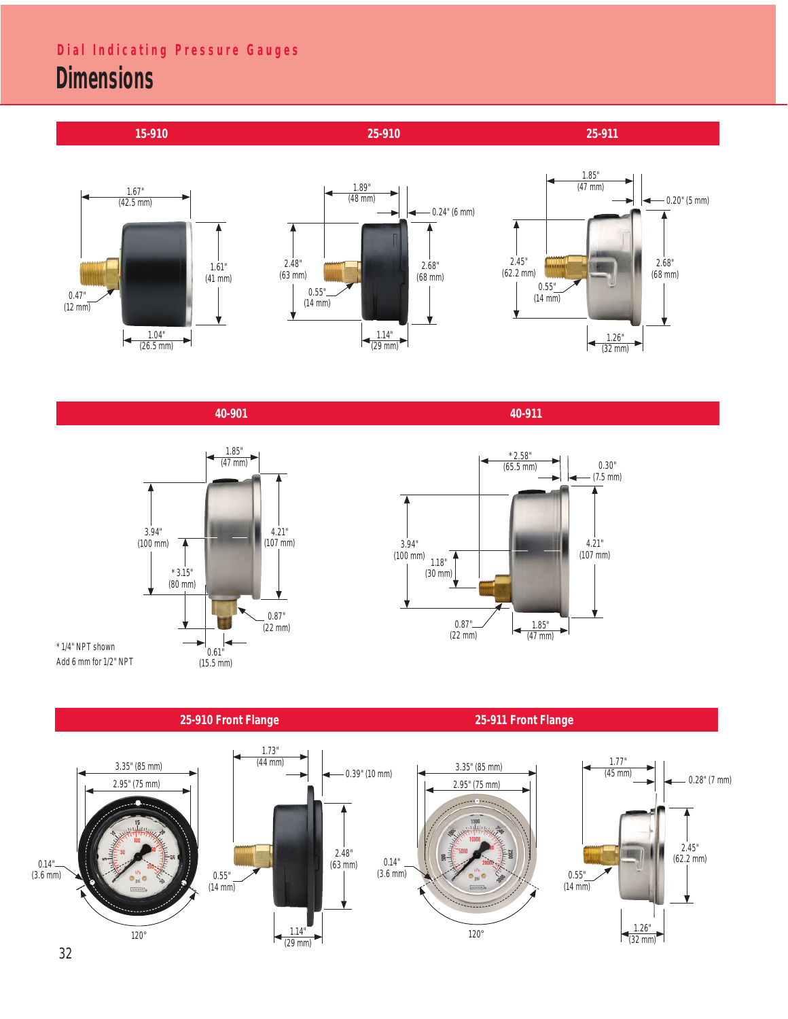## **Dimensions Dial Indicating Pressure Gauges**



 **40-901 40-911**